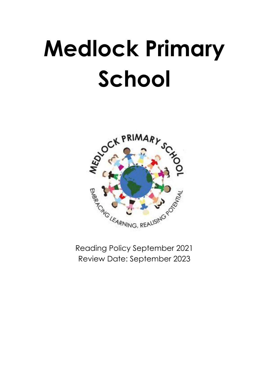# **Medlock Primary School**



Reading Policy September 2021 Review Date: September 2023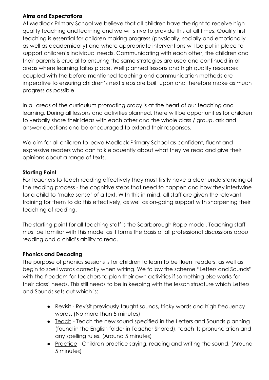# **Aims and Expectations**

At Medlock Primary School we believe that all children have the right to receive high quality teaching and learning and we will strive to provide this at all times. Quality first teaching is essential for children making progress (physically, socially and emotionally as well as academically) and where appropriate interventions will be put in place to support children's individual needs. Communicating with each other, the children and their parents is crucial to ensuring the same strategies are used and continued in all areas where learning takes place. Well planned lessons and high quality resources coupled with the before mentioned teaching and communication methods are imperative to ensuring children's next steps are built upon and therefore make as much progress as possible.

In all areas of the curriculum promoting oracy is at the heart of our teaching and learning. During all lessons and activities planned, there will be opportunities for children to verbally share their ideas with each other and the whole class / group, ask and answer questions and be encouraged to extend their responses.

We aim for all children to leave Medlock Primary School as confident, fluent and expressive readers who can talk eloquently about what they've read and give their opinions about a range of texts.

### **Starting Point**

For teachers to teach reading effectively they must firstly have a clear understanding of the reading process - the cognitive steps that need to happen and how they intertwine for a child to 'make sense' of a text. With this in mind, all staff are given the relevant training for them to do this effectively, as well as on-going support with sharpening their teaching of reading.

The starting point for all teaching staff is the Scarborough Rope model. Teaching staff must be familiar with this model as it forms the basis of all professional discussions about reading and a child's ability to read.

# **Phonics and Decoding**

The purpose of phonics sessions is for children to learn to be fluent readers, as well as begin to spell words correctly when writing. We follow the scheme "Letters and Sounds" with the freedom for teachers to plan their own activities if something else works for their class' needs. This still needs to be in keeping with the lesson structure which Letters and Sounds sets out which is:

- Revisit Revisit previously taught sounds, tricky words and high frequency words. (No more than 5 minutes)
- Teach Teach the new sound specified in the Letters and Sounds planning (found in the English folder in Teacher Shared), teach its pronunciation and any spelling rules. (Around 5 minutes)
- Practice Children practice saying, reading and writing the sound. (Around 5 minutes)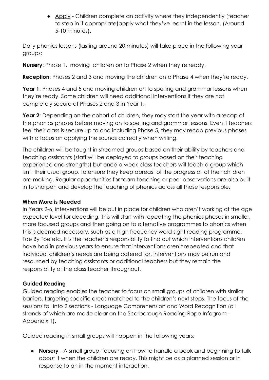• Apply - Children complete an activity where they independently (teacher to step in if appropriate)apply what they've learnt in the lesson. (Around 5-10 minutes).

Daily phonics lessons (lasting around 20 minutes) will take place in the following year groups:

**Nursery**: Phase 1, moving children on to Phase 2 when they're ready.

**Reception:** Phases 2 and 3 and moving the children onto Phase 4 when they're ready.

**Year 1**: Phases 4 and 5 and moving children on to spelling and grammar lessons when they're ready. Some children will need additional interventions if they are not completely secure at Phases 2 and 3 in Year 1.

**Year 2**: Depending on the cohort of children, they may start the year with a recap of the phonics phases before moving on to spelling and grammar lessons. Even if teachers feel their class is secure up to and including Phase 5, they may recap previous phases with a focus on applying the sounds correctly when writing.

The children will be taught in streamed groups based on their ability by teachers and teaching assistants (staff will be deployed to groups based on their teaching experience and strengths) but once a week class teachers will teach a group which isn't their usual group, to ensure they keep abreast of the progress all of their children are making. Regular opportunities for team teaching or peer observations are also built in to sharpen and develop the teaching of phonics across all those responsible.

# **When More is Needed**

In Years 2-6, interventions will be put in place for children who aren't working at the age expected level for decoding. This will start with repeating the phonics phases in smaller, more focused groups and then going on to alternative programmes to phonics when this is deemed necessary, such as a high frequency word sight reading programme, Toe By Toe etc. It is the teacher's responsibility to find out which interventions children have had in previous years to ensure that interventions aren't repeated and that individual children's needs are being catered for. Interventions may be run and resourced by teaching assistants or additional teachers but they remain the responsibility of the class teacher throughout.

# **Guided Reading**

Guided reading enables the teacher to focus on small groups of children with similar barriers, targeting specific areas matched to the children's next steps. The focus of the sessions fall into 2 sections - Language Comprehension and Word Recognition (all strands of which are made clear on the Scarborough Reading Rope Infogram - Appendix 1).

Guided reading in small groups will happen in the following years:

● **Nursery** - A small group, focusing on how to handle a book and beginning to talk about it when the children are ready. This might be as a planned session or in response to an in the moment interaction.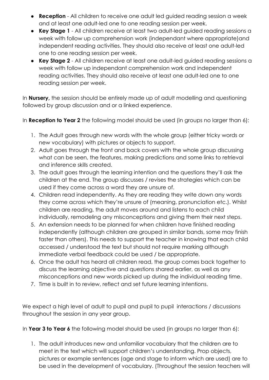- **Reception** All children to receive one adult led guided reading session a week and at least one adult-led one to one reading session per week.
- **Key Stage 1** All children receive at least two adult-led guided reading sessions a week with follow up comprehension work (independant where appropriate)and independent reading activities. They should also receive at least one adult-led one to one reading session per week.
- **Key Stage 2** All children receive at least one adult-led guided reading sessions a week with follow up independant comprehension work and independent reading activities. They should also receive at least one adult-led one to one reading session per week.

In **Nursery,** the session should be entirely made up of adult modelling and questioning followed by group discussion and or a linked experience.

In **Reception to Year 2** the following model should be used (in groups no larger than 6):

- 1. The Adult goes through new words with the whole group (either tricky words or new vocabulary) with pictures or objects to support.
- 2. Adult goes through the front and back covers with the whole group discussing what can be seen, the features, making predictions and some links to retrieval and inference skills created.
- 3. The adult goes through the learning intention and the questions they'll ask the children at the end. The group discusses / revises the strategies which can be used if they come across a word they are unsure of.
- 4. Children read independently. As they are reading they write down any words they come across which they're unsure of (meaning, pronunciation etc.). Whilst children are reading, the adult moves around and listens to each child individually, remodeling any misconceptions and giving them their next steps.
- 5. An extension needs to be planned for when children have finished reading independently (although children are grouped in similar bands, some may finish faster than others). This needs to support the teacher in knowing that each child accessed / understood the text but should not require marking although immediate verbal feedback could be used / be appropriate.
- 6. Once the adult has heard all children read, the group comes back together to discuss the learning objective and questions shared earlier, as well as any misconceptions and new words picked up during the individual reading time.
- 7. Time is built in to review, reflect and set future learning intentions.

We expect a high level of adult to pupil and pupil to pupil interactions / discussions throughout the session in any year group.

In **Year 3 to Year 6** the following model should be used (in groups no larger than 6):

1. The adult introduces new and unfamiliar vocabulary that the children are to meet in the text which will support children's understanding. Prop objects, pictures or example sentences (age and stage to inform which are used) are to be used in the development of vocabulary. (Throughout the session teachers will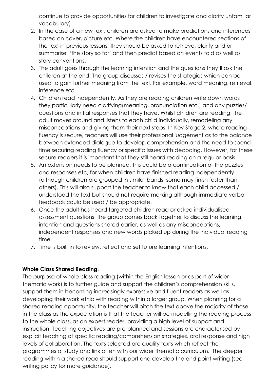continue to provide opportunities for children to investigate and clarify unfamiliar vocabulary)

- 2. In the case of a new text, children are asked to make predictions and inferences based on cover, picture etc. Where the children have encountered sections of the text in previous lessons, they should be asked to retrieve, clarify and or summarise 'the story so far' and then predict based on events told as well as story conventions.
- 3. The adult goes through the learning intention and the questions they'll ask the children at the end. The group discusses / revises the strategies which can be used to gain further meaning from the text. For example, word meaning, retrieval, inference etc
- 4. Children read independently. As they are reading children write down words they particularly need clarifying(meaning, pronunciation etc.) and any puzzles/ questions and initial responses that they have. Whilst children are reading, the adult moves around and listens to each child individually, remodeling any misconceptions and giving them their next steps. In Key Stage 2, where reading fluency is secure, teachers will use their professional judgement as to the balance between extended dialogue to develop comprehension and the need to spend time securing reading fluency or specific issues with decoding. However, for these secure readers it is important that they still heard reading on a regular basis.
- 5. An extension needs to be planned, this could be a continuation of the puzzles and responses etc, for when children have finished reading independently (although children are grouped in similar bands, some may finish faster than others). This will also support the teacher to know that each child accessed / understood the text but should not require marking although immediate verbal feedback could be used / be appropriate.
- 6. Once the adult has heard targeted children read or asked individualised assessment questions, the group comes back together to discuss the learning intention and questions shared earlier, as well as any misconceptions, independent responses and new words picked up during the individual reading time.
- 7. Time is built in to review, reflect and set future learning intentions.

# **Whole Class Shared Reading.**

The purpose of whole class reading (within the English lesson or as part of wider thematic work) is to further guide and support the children's comprehension skills, support them in becoming increasingly expressive and fluent readers as well as developing their work ethic with reading within a larger group. When planning for a shared reading opportunity, the teacher will pitch the text above the majority of those in the class as the expectation is that the teacher will be modelling the reading process to the whole class, as an expert reader, providing a high level of support and instruction. Teaching objectives are pre-planned and sessions are characterised by explicit teaching of specific reading/comprehension strategies, oral response and high levels of collaboration. The texts selected are quality texts which reflect the programmes of study and link often with our wider thematic curriculum. The deeper reading within a shared read should support and develop the end point writing (see writing policy for more guidance).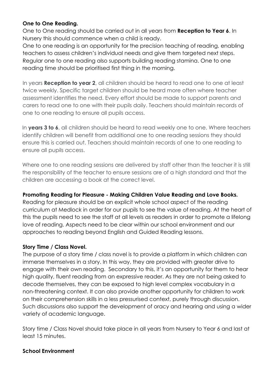# **One to One Reading.**

One to One reading should be carried out in all years from **Reception to Year 6**. In Nursery this should commence when a child is ready.

One to one reading is an opportunity for the precision teaching of reading, enabling teachers to assess children's individual needs and give them targeted next steps. Regular one to one reading also supports building reading stamina. One to one reading time should be prioritised first thing in the morning.

In years **Reception to year 2**, all children should be heard to read one to one at least twice weekly. Specific target children should be heard more often where teacher assessment identifies the need. Every effort should be made to support parents and carers to read one to one with their pupils daily. Teachers should maintain records of one to one reading to ensure all pupils access.

In **years 3 to 6**, all children should be heard to read weekly one to one. Where teachers identify children will benefit from additional one to one reading sessions they should ensure this is carried out. Teachers should maintain records of one to one reading to ensure all pupils access.

Where one to one reading sessions are delivered by staff other than the teacher it is still the responsibility of the teacher to ensure sessions are of a high standard and that the children are accessing a book at the correct level.

# **Promoting Reading for Pleasure - Making Children Value Reading and Love Books.**

Reading for pleasure should be an explicit whole school aspect of the reading curriculum at Medlock in order for our pupils to see the value of reading. At the heart of this the pupils need to see the staff at all levels as readers in order to promote a lifelong love of reading. Aspects need to be clear within our school environment and our approaches to reading beyond English and Guided Reading lessons.

# **Story Time / Class Novel.**

The purpose of a story time / class novel is to provide a platform in which children can immerse themselves in a story. In this way, they are provided with greater drive to engage with their own reading. Secondary to this, it's an opportunity for them to hear high quality, fluent reading from an expressive reader. As they are not being asked to decode themselves, they can be exposed to high level complex vocabulary in a non-threatening context. It can also provide another opportunity for children to work on their comprehension skills in a less pressurised context, purely through discussion. Such discussions also support the development of oracy and hearing and using a wider variety of academic language.

Story time / Class Novel should take place in all years from Nursery to Year 6 and last at least 15 minutes.

#### **School Environment**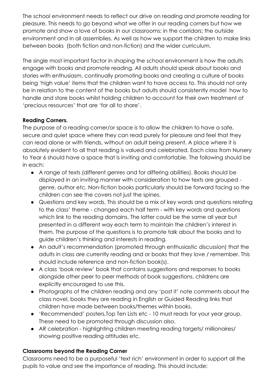The school environment needs to reflect our drive on reading and promote reading for pleasure. This needs to go beyond what we offer in our reading corners but how we promote and show a love of books in our classrooms; in the corridors; the outside environment and in all assemblies. As well as how we support the children to make links between books (both fiction and non-fiction) and the wider curriculum.

The single most important factor in shaping the school environment is how the adults engage with books and promote reading. All adults should speak about books and stories with enthusiasm, continually promoting books and creating a culture of books being 'high value' items that the children want to have access to. This should not only be in relation to the content of the books but adults should consistently model how to handle and store books whilst holding children to account for their own treatment of 'precious resources' that are 'for all to share'.

# **Reading Corners.**

The purpose of a reading corner/or space is to allow the children to have a safe, secure and quiet space where they can read purely for pleasure and feel that they can read alone or with friends, without an adult being present. A place where it is absolutely evident to all that reading is valued and celebrated. Each class from Nursery to Year 6 should have a space that is inviting and comfortable. The following should be in each:

- A range of texts (different genres and for differing abilities). Books should be displayed in an inviting manner with consideration to how texts are grouped genre, author etc. Non-fiction books particularly should be forward facing so the children can see the covers not just the spines.
- Questions and key words. This should be a mix of key words and questions relating to the class' theme - changed each half term - with key words and questions which link to the reading domains. The latter could be the same all year but presented in a different way each term to maintain the children's interest in them. The purpose of the questions is to promote talk about the books and to guide children's thinking and interests in reading.
- An adult's recommendation (promoted through enthusiastic discussion) that the adults in class are currently reading and or books that they love / remember. This should include reference and non-fiction book(s).
- A class 'book review' book that contains suggestions and responses to books alongside other peer to peer methods of book suggestions, childrens are explicitly encouraged to use this.
- Photographs of the children reading and any 'post it' note comments about the class novel, books they are reading in English or Guided Reading links that children have made between books/themes within books.
- 'Recommended' posters,Top Ten Lists etc 10 must reads for your year group. These need to be promoted through discussion also.
- AR celebration highlighting children meeting reading targets/ millionaires/ showing positive reading attitudes etc.

# **Classrooms beyond the Reading Corner**

Classrooms need to be a purposeful 'text rich' environment in order to support all the pupils to value and see the importance of reading. This should include: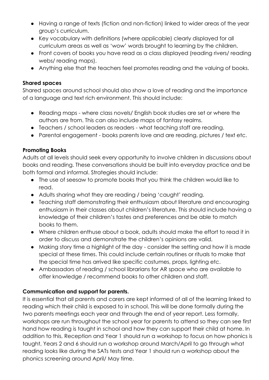- Having a range of texts (fiction and non-fiction) linked to wider areas of the year group's curriculum.
- Key vocabulary with definitions (where applicable) clearly displayed for all curriculum areas as well as 'wow' words brought to learning by the children.
- Front covers of books you have read as a class displayed (reading rivers/ reading webs/ reading maps).
- Anything else that the teachers feel promotes reading and the valuing of books.

# **Shared spaces**

Shared spaces around school should also show a love of reading and the importance of a language and text rich environment. This should include:

- Reading maps where class novels/ English book studies are set or where the authors are from. This can also include maps of fantasy realms.
- Teachers / school leaders as readers what teaching staff are reading.
- Parental engagement books parents love and are reading, pictures / text etc.

# **Promoting Books**

Adults at all levels should seek every opportunity to involve children in discussions about books and reading. These conversations should be built into everyday practice and be both formal and informal. Strategies should include:

- The use of seesaw to promote books that you think the children would like to read.
- Adults sharing what they are reading / being 'caught' reading.
- Teaching staff demonstrating their enthusiasm about literature and encouraging enthusiasm in their classes about children's literature. This should include having a knowledge of their children's tastes and preferences and be able to match books to them.
- Where children enthuse about a book, adults should make the effort to read it in order to discuss and demonstrate the children's opinions are valid.
- Making story time a highlight of the day consider the setting and how it is made special at these times. This could include certain routines or rituals to make that the special time has arrived like specific costumes, props, lighting etc.
- Ambassadors of reading / school librarians for AR space who are available to offer knowledge / recommend books to other children and staff.

# **Communication and support for parents.**

It is essential that all parents and carers are kept informed of all of the learning linked to reading which their child is exposed to in school. This will be done formally during the two parents meetings each year and through the end of year report. Less formally, workshops are run throughout the school year for parents to attend so they can see first hand how reading is taught in school and how they can support their child at home. In addition to this, Reception and Year 1 should run a workshop to focus on how phonics is taught, Years 2 and 6 should run a workshop around March/April to go through what reading looks like during the SATs tests and Year 1 should run a workshop about the phonics screening around April/ May time.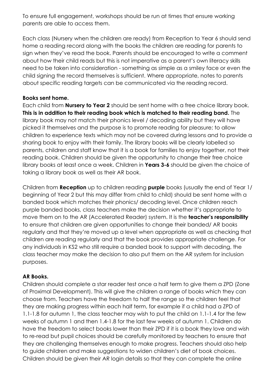To ensure full engagement, workshops should be run at times that ensure working parents are able to access them.

Each class (Nursery when the children are ready) from Reception to Year 6 should send home a reading record along with the books the children are reading for parents to sign when they've read the book. Parents should be encouraged to write a comment about how their child reads but this is not imperative as a parent's own literacy skills need to be taken into consideration - something as simple as a smiley face or even the child signing the record themselves is sufficient. Where appropriate, notes to parents about specific reading targets can be communicated via the reading record.

## **Books sent home.**

Each child from **Nursery to Year 2** should be sent home with a free choice library book. **This is in addition to their reading book which is matched to their reading band.** The library book may not match their phonics level / decoding ability but they will have picked it themselves and the purpose is to promote reading for pleasure; to allow children to experience texts which may not be covered during lessons and to provide a sharing book to enjoy with their family. The library books will be clearly labelled so parents, children and staff know that it is a book for families to enjoy together, not their reading book. Children should be given the opportunity to change their free choice library books at least once a week. Children in **Years 3-6** should be given the choice of taking a library book as well as their AR book.

Children from **Reception** up to children reading **purple** books (usually the end of Year 1/ beginning of Year 2 but this may differ from child to child) should be sent home with a banded book which matches their phonics/ decoding level. Once children reach purple banded books, class teachers make the decision whether it's appropriate to move them on to the AR (Accelerated Reader) system. It is the **teacher's responsibility** to ensure that children are given opportunities to change their banded/ AR books regularly and that they're moved up a level when appropriate as well as checking that children are reading regularly and that the book provides appropriate challenge. For any individuals in KS2 who still require a banded book to support with decoding, the class teacher may make the decision to also put them on the AR system for inclusion purposes.

# **AR Books.**

Children should complete a star reader test once a half term to give them a ZPD (Zone of Proximal Development). This will give the children a range of books which they can choose from. Teachers have the freedom to half the range so the children feel that they are making progress within each half term, for example if a child had a ZPD of 1.1-1.8 for autumn 1, the class teacher may wish to put the child on 1.1-1.4 for the few weeks of autumn 1 and then 1.4-1.8 for the last few weeks of autumn 1. Children do have the freedom to select books lower than their ZPD if it is a book they love and wish to re-read but pupil choices should be carefully monitored by teachers to ensure that they are challenging themselves enough to make progress. Teachers should also help to guide children and make suggestions to widen children's diet of book choices. Children should be given their AR login details so that they can complete the online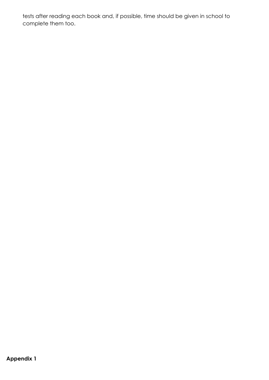tests after reading each book and, if possible, time should be given in school to complete them too.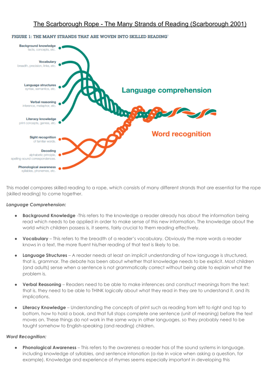

#### FIGURE 1: THE MANY STRANDS THAT ARE WOVEN INTO SKILLED READING?

This model compares skilled reading to a rope, which consists of many different strands that are essential for the rope (skilled reading) to come together.

#### *Language Comprehension:*

- **Background Knowledge** -This refers to the knowledge a reader already has about the information being read which needs to be applied in order to make sense of this new information. The knowledge about the world which children possess is, it seems, fairly crucial to them reading effectively.
- **Vocabulary** This refers to the breadth of a reader's vocabulary. Obviously the more words a reader knows in a text, the more fluent his/her reading of that text is likely to be.
- **Language Structures** A reader needs at least an implicit understanding of how language is structured, that is, grammar. The debate has been about whether that knowledge needs to be explicit. Most children (and adults) sense when a sentence is not grammatically correct without being able to explain what the problem is.
- **Verbal Reasoning** Readers need to be able to make inferences and construct meanings from the text: that is, they need to be able to THINK logically about what they read in they are to understand it, and its implications.
- **Literacy Knowledge** Understanding the concepts of print such as reading from left to right and top to bottom, how to hold a book, and that full stops complete one sentence (unit of meaning) before the text moves on. These things do not work in the same way in other languages, so they probably need to be taught somehow to English-speaking (and reading) children.

#### *Word Recognition:*

● **Phonological Awareness** – This refers to the awareness a reader has of the sound systems in language, including knowledge of syllables, and sentence intonation (a rise in voice when asking a question, for example). Knowledge and experience of rhymes seems especially important in developing this